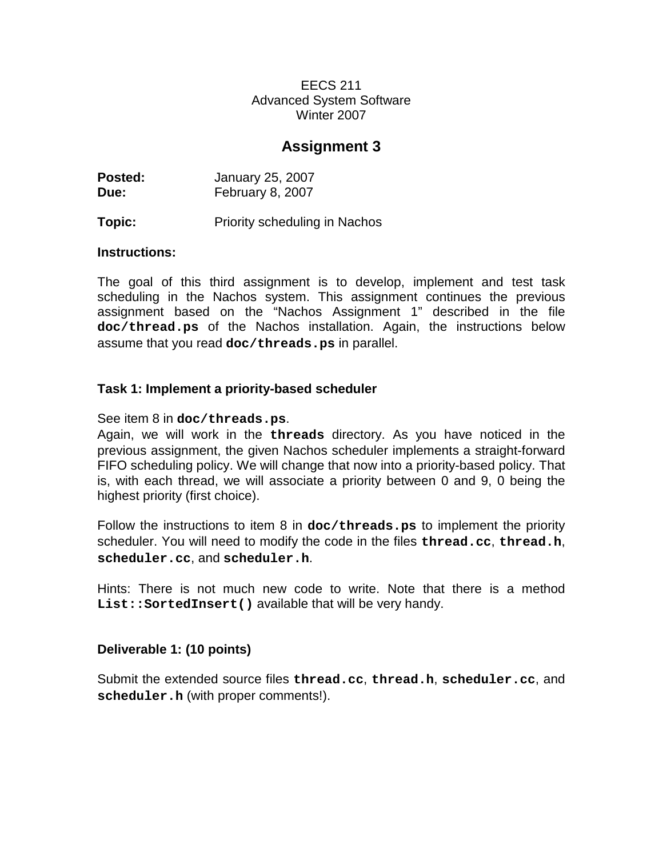# **Assignment 3**

| January 25, 2007 |
|------------------|
| February 8, 2007 |
|                  |

**Topic:** Priority scheduling in Nachos

### **Instructions:**

The goal of this third assignment is to develop, implement and test task scheduling in the Nachos system. This assignment continues the previous assignment based on the "Nachos Assignment 1" described in the file **doc/thread.ps** of the Nachos installation. Again, the instructions below assume that you read **doc/threads.ps** in parallel.

## **Task 1: Implement a priority-based scheduler**

### See item 8 in **doc/threads.ps**.

Again, we will work in the **threads** directory. As you have noticed in the previous assignment, the given Nachos scheduler implements a straight-forward FIFO scheduling policy. We will change that now into a priority-based policy. That is, with each thread, we will associate a priority between 0 and 9, 0 being the highest priority (first choice).

Follow the instructions to item 8 in **doc/threads.ps** to implement the priority scheduler. You will need to modify the code in the files **thread.cc**, **thread.h**, **scheduler.cc**, and **scheduler.h**.

Hints: There is not much new code to write. Note that there is a method **List::SortedInsert()** available that will be very handy.

## **Deliverable 1: (10 points)**

Submit the extended source files **thread.cc**, **thread.h**, **scheduler.cc**, and **scheduler.h** (with proper comments!).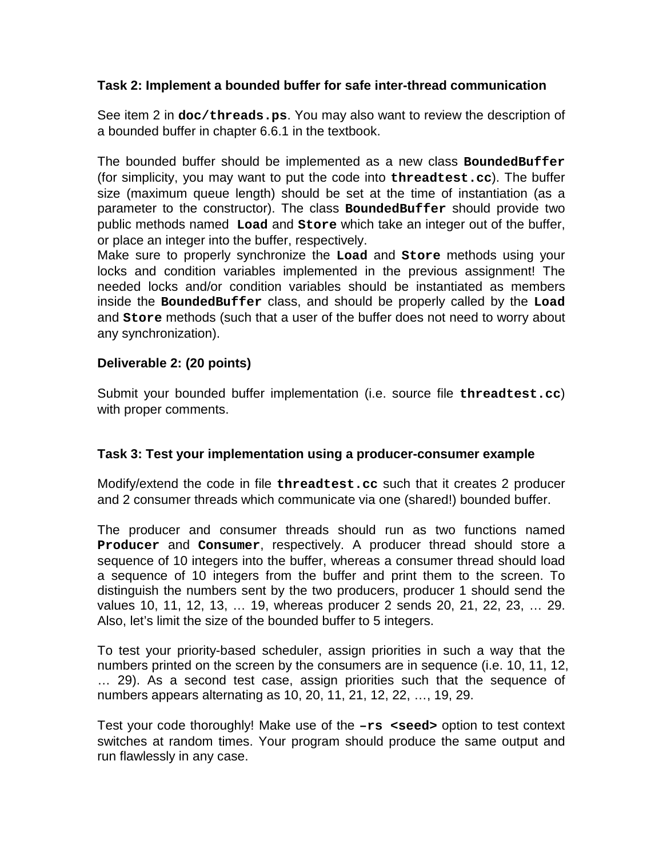# **Task 2: Implement a bounded buffer for safe inter-thread communication**

See item 2 in **doc/threads.ps**. You may also want to review the description of a bounded buffer in chapter 6.6.1 in the textbook.

The bounded buffer should be implemented as a new class **BoundedBuffer** (for simplicity, you may want to put the code into **threadtest.cc**). The buffer size (maximum queue length) should be set at the time of instantiation (as a parameter to the constructor). The class **BoundedBuffer** should provide two public methods named **Load** and **Store** which take an integer out of the buffer, or place an integer into the buffer, respectively.

Make sure to properly synchronize the **Load** and **Store** methods using your locks and condition variables implemented in the previous assignment! The needed locks and/or condition variables should be instantiated as members inside the **BoundedBuffer** class, and should be properly called by the **Load** and **Store** methods (such that a user of the buffer does not need to worry about any synchronization).

# **Deliverable 2: (20 points)**

Submit your bounded buffer implementation (i.e. source file **threadtest.cc**) with proper comments.

## **Task 3: Test your implementation using a producer-consumer example**

Modify/extend the code in file **threadtest.cc** such that it creates 2 producer and 2 consumer threads which communicate via one (shared!) bounded buffer.

The producer and consumer threads should run as two functions named **Producer** and **Consumer**, respectively. A producer thread should store a sequence of 10 integers into the buffer, whereas a consumer thread should load a sequence of 10 integers from the buffer and print them to the screen. To distinguish the numbers sent by the two producers, producer 1 should send the values 10, 11, 12, 13, … 19, whereas producer 2 sends 20, 21, 22, 23, … 29. Also, let's limit the size of the bounded buffer to 5 integers.

To test your priority-based scheduler, assign priorities in such a way that the numbers printed on the screen by the consumers are in sequence (i.e. 10, 11, 12, … 29). As a second test case, assign priorities such that the sequence of numbers appears alternating as 10, 20, 11, 21, 12, 22, …, 19, 29.

Test your code thoroughly! Make use of the **–rs <seed>** option to test context switches at random times. Your program should produce the same output and run flawlessly in any case.